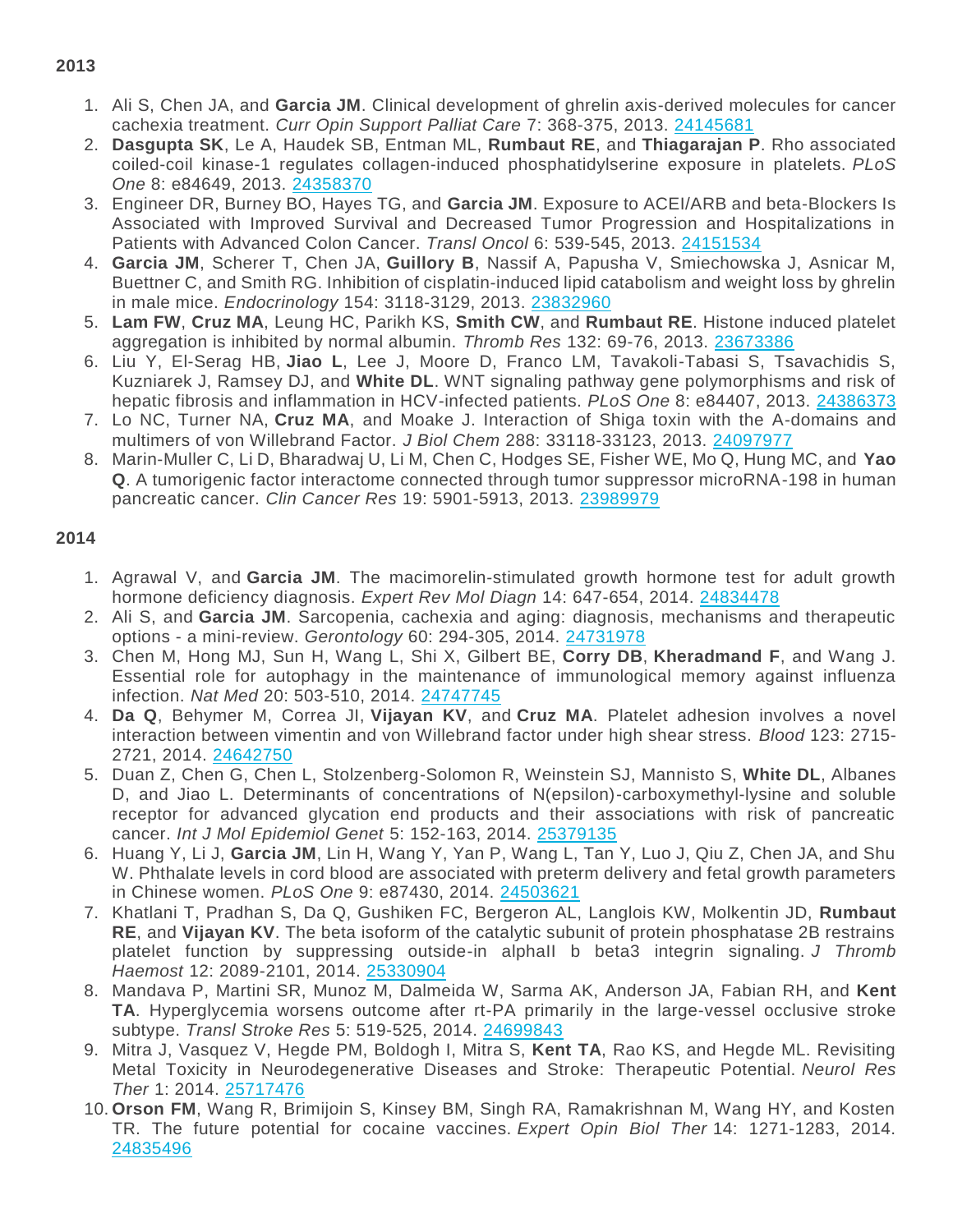- 1. Ali S, Chen JA, and **Garcia JM**. Clinical development of ghrelin axis-derived molecules for cancer cachexia treatment. *Curr Opin Support Palliat Care* 7: 368-375, 2013. [24145681](http://www.ncbi.nlm.nih.gov/pubmed/?term=24145681)
- 2. **Dasgupta SK**, Le A, Haudek SB, Entman ML, **Rumbaut RE**, and **Thiagarajan P**. Rho associated coiled-coil kinase-1 regulates collagen-induced phosphatidylserine exposure in platelets. *PLoS One* 8: e84649, 2013. [24358370](http://www.ncbi.nlm.nih.gov/pubmed/?term=24358370)
- 3. Engineer DR, Burney BO, Hayes TG, and **Garcia JM**. Exposure to ACEI/ARB and beta-Blockers Is Associated with Improved Survival and Decreased Tumor Progression and Hospitalizations in Patients with Advanced Colon Cancer. *Transl Oncol* 6: 539-545, 2013. [24151534](http://www.ncbi.nlm.nih.gov/pubmed/?term=24151534)
- 4. **Garcia JM**, Scherer T, Chen JA, **Guillory B**, Nassif A, Papusha V, Smiechowska J, Asnicar M, Buettner C, and Smith RG. Inhibition of cisplatin-induced lipid catabolism and weight loss by ghrelin in male mice. *Endocrinology* 154: 3118-3129, 2013. [23832960](http://www.ncbi.nlm.nih.gov/pubmed/?term=23832960)
- 5. **Lam FW**, **Cruz MA**, Leung HC, Parikh KS, **Smith CW**, and **Rumbaut RE**. Histone induced platelet aggregation is inhibited by normal albumin. *Thromb Res* 132: 69-76, 2013. [23673386](http://www.ncbi.nlm.nih.gov/pubmed/?term=23673386)
- 6. Liu Y, El-Serag HB, **Jiao L**, Lee J, Moore D, Franco LM, Tavakoli-Tabasi S, Tsavachidis S, Kuzniarek J, Ramsey DJ, and **White DL**. WNT signaling pathway gene polymorphisms and risk of hepatic fibrosis and inflammation in HCV-infected patients. *PLoS One* 8: e84407, 2013. [24386373](http://www.ncbi.nlm.nih.gov/pubmed/?term=24386373)
- 7. Lo NC, Turner NA, **Cruz MA**, and Moake J. Interaction of Shiga toxin with the A-domains and multimers of von Willebrand Factor. *J Biol Chem* 288: 33118-33123, 2013. [24097977](http://www.ncbi.nlm.nih.gov/pubmed/?term=24097977)
- 8. Marin-Muller C, Li D, Bharadwaj U, Li M, Chen C, Hodges SE, Fisher WE, Mo Q, Hung MC, and **Yao Q**. A tumorigenic factor interactome connected through tumor suppressor microRNA-198 in human pancreatic cancer. *Clin Cancer Res* 19: 5901-5913, 2013. [23989979](http://www.ncbi.nlm.nih.gov/pubmed/?term=23989979)

## **2014**

- 1. Agrawal V, and **Garcia JM**. The macimorelin-stimulated growth hormone test for adult growth hormone deficiency diagnosis. *Expert Rev Mol Diagn* 14: 647-654, 2014. [24834478](http://www.ncbi.nlm.nih.gov/pubmed/?term=24834478)
- 2. Ali S, and **Garcia JM**. Sarcopenia, cachexia and aging: diagnosis, mechanisms and therapeutic options - a mini-review. *Gerontology* 60: 294-305, 2014. [24731978](http://www.ncbi.nlm.nih.gov/pubmed/?term=24731978)
- 3. Chen M, Hong MJ, Sun H, Wang L, Shi X, Gilbert BE, **Corry DB**, **Kheradmand F**, and Wang J. Essential role for autophagy in the maintenance of immunological memory against influenza infection. *Nat Med* 20: 503-510, 2014. [24747745](https://www.ncbi.nlm.nih.gov/pubmed/?term=24747745)
- 4. **Da Q**, Behymer M, Correa JI, **Vijayan KV**, and **Cruz MA**. Platelet adhesion involves a novel interaction between vimentin and von Willebrand factor under high shear stress. *Blood* 123: 2715- 2721, 2014. [24642750](http://www.ncbi.nlm.nih.gov/pubmed/?term=24642750)
- 5. Duan Z, Chen G, Chen L, Stolzenberg-Solomon R, Weinstein SJ, Mannisto S, **White DL**, Albanes D, and Jiao L. Determinants of concentrations of N(epsilon)-carboxymethyl-lysine and soluble receptor for advanced glycation end products and their associations with risk of pancreatic cancer. *Int J Mol Epidemiol Genet* 5: 152-163, 2014. [25379135](http://www.ncbi.nlm.nih.gov/pubmed/?term=25379135)
- 6. Huang Y, Li J, **Garcia JM**, Lin H, Wang Y, Yan P, Wang L, Tan Y, Luo J, Qiu Z, Chen JA, and Shu W. Phthalate levels in cord blood are associated with preterm delivery and fetal growth parameters in Chinese women. *PLoS One* 9: e87430, 2014. [24503621](http://www.ncbi.nlm.nih.gov/pubmed/?term=24503621)
- 7. Khatlani T, Pradhan S, Da Q, Gushiken FC, Bergeron AL, Langlois KW, Molkentin JD, **Rumbaut RE**, and **Vijayan KV**. The beta isoform of the catalytic subunit of protein phosphatase 2B restrains platelet function by suppressing outside-in alphaII b beta3 integrin signaling. *J Thromb Haemost* 12: 2089-2101, 2014. [25330904](http://www.ncbi.nlm.nih.gov/pubmed/?term=25330904)
- 8. Mandava P, Martini SR, Munoz M, Dalmeida W, Sarma AK, Anderson JA, Fabian RH, and **Kent TA**. Hyperglycemia worsens outcome after rt-PA primarily in the large-vessel occlusive stroke subtype. *Transl Stroke Res* 5: 519-525, 2014. [24699843](http://www.ncbi.nlm.nih.gov/pubmed/?term=24699843)
- 9. Mitra J, Vasquez V, Hegde PM, Boldogh I, Mitra S, **Kent TA**, Rao KS, and Hegde ML. Revisiting Metal Toxicity in Neurodegenerative Diseases and Stroke: Therapeutic Potential. *Neurol Res Ther* 1: 2014. [25717476](http://www.ncbi.nlm.nih.gov/pubmed/?term=25717476)
- 10. **Orson FM**, Wang R, Brimijoin S, Kinsey BM, Singh RA, Ramakrishnan M, Wang HY, and Kosten TR. The future potential for cocaine vaccines. *Expert Opin Biol Ther* 14: 1271-1283, 2014. [24835496](http://www.ncbi.nlm.nih.gov/pubmed/?term=24835496)

## **2013**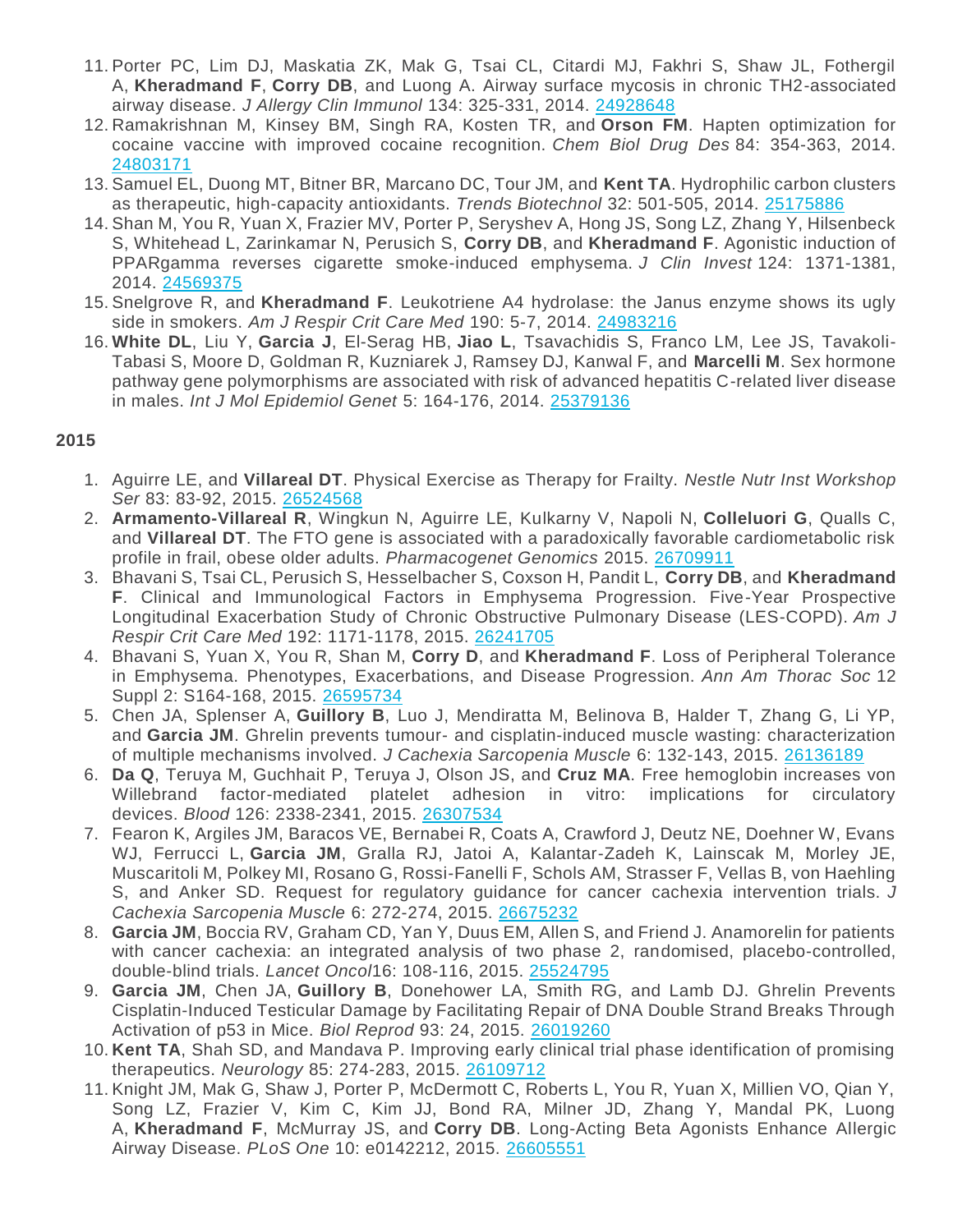- 11. Porter PC, Lim DJ, Maskatia ZK, Mak G, Tsai CL, Citardi MJ, Fakhri S, Shaw JL, Fothergil A, **Kheradmand F**, **Corry DB**, and Luong A. Airway surface mycosis in chronic TH2-associated airway disease. *J Allergy Clin Immunol* 134: 325-331, 2014. [24928648](http://www.ncbi.nlm.nih.gov/pubmed/?term=24928648)
- 12. Ramakrishnan M, Kinsey BM, Singh RA, Kosten TR, and **Orson FM**. Hapten optimization for cocaine vaccine with improved cocaine recognition. *Chem Biol Drug Des* 84: 354-363, 2014. [24803171](http://www.ncbi.nlm.nih.gov/pubmed/?term=24803171)
- 13. Samuel EL, Duong MT, Bitner BR, Marcano DC, Tour JM, and **Kent TA**. Hydrophilic carbon clusters as therapeutic, high-capacity antioxidants. *Trends Biotechnol* 32: 501-505, 2014. [25175886](http://www.ncbi.nlm.nih.gov/pubmed/?term=25175886)
- 14. Shan M, You R, Yuan X, Frazier MV, Porter P, Seryshev A, Hong JS, Song LZ, Zhang Y, Hilsenbeck S, Whitehead L, Zarinkamar N, Perusich S, **Corry DB**, and **Kheradmand F**. Agonistic induction of PPARgamma reverses cigarette smoke-induced emphysema. *J Clin Invest* 124: 1371-1381, 2014. [24569375](http://www.ncbi.nlm.nih.gov/pubmed/?term=24569375)
- 15. Snelgrove R, and **Kheradmand F**. Leukotriene A4 hydrolase: the Janus enzyme shows its ugly side in smokers. *Am J Respir Crit Care Med* 190: 5-7, 2014. [24983216](http://www.ncbi.nlm.nih.gov/pubmed/?term=24983216)
- 16. **White DL**, Liu Y, **Garcia J**, El-Serag HB, **Jiao L**, Tsavachidis S, Franco LM, Lee JS, Tavakoli-Tabasi S, Moore D, Goldman R, Kuzniarek J, Ramsey DJ, Kanwal F, and **Marcelli M**. Sex hormone pathway gene polymorphisms are associated with risk of advanced hepatitis C-related liver disease in males. *Int J Mol Epidemiol Genet* 5: 164-176, 2014. [25379136](http://www.ncbi.nlm.nih.gov/pubmed/?term=25379136)

## **2015**

- 1. Aguirre LE, and **Villareal DT**. Physical Exercise as Therapy for Frailty. *Nestle Nutr Inst Workshop Ser* 83: 83-92, 2015. [26524568](http://www.ncbi.nlm.nih.gov/pubmed/?term=26524568)
- 2. **Armamento-Villareal R**, Wingkun N, Aguirre LE, Kulkarny V, Napoli N, **Colleluori G**, Qualls C, and **Villareal DT**. The FTO gene is associated with a paradoxically favorable cardiometabolic risk profile in frail, obese older adults. *Pharmacogenet Genomics* 2015. [26709911](http://www.ncbi.nlm.nih.gov/pubmed/?term=26709911)
- 3. Bhavani S, Tsai CL, Perusich S, Hesselbacher S, Coxson H, Pandit L, **Corry DB**, and **Kheradmand F**. Clinical and Immunological Factors in Emphysema Progression. Five-Year Prospective Longitudinal Exacerbation Study of Chronic Obstructive Pulmonary Disease (LES-COPD). *Am J Respir Crit Care Med* 192: 1171-1178, 2015. [26241705](http://www.ncbi.nlm.nih.gov/pubmed/?term=26241705)
- 4. Bhavani S, Yuan X, You R, Shan M, **Corry D**, and **Kheradmand F**. Loss of Peripheral Tolerance in Emphysema. Phenotypes, Exacerbations, and Disease Progression. *Ann Am Thorac Soc* 12 Suppl 2: S164-168, 2015. [26595734](http://www.ncbi.nlm.nih.gov/pubmed/?term=26595734)
- 5. Chen JA, Splenser A, **Guillory B**, Luo J, Mendiratta M, Belinova B, Halder T, Zhang G, Li YP, and **Garcia JM**. Ghrelin prevents tumour- and cisplatin-induced muscle wasting: characterization of multiple mechanisms involved. *J Cachexia Sarcopenia Muscle* 6: 132-143, 2015. [26136189](http://www.ncbi.nlm.nih.gov/pubmed/?term=26136189)
- 6. **Da Q**, Teruya M, Guchhait P, Teruya J, Olson JS, and **Cruz MA**. Free hemoglobin increases von Willebrand factor-mediated platelet adhesion in vitro: implications for circulatory devices. *Blood* 126: 2338-2341, 2015. [26307534](http://www.ncbi.nlm.nih.gov/pubmed/?term=26307534)
- 7. Fearon K, Argiles JM, Baracos VE, Bernabei R, Coats A, Crawford J, Deutz NE, Doehner W, Evans WJ, Ferrucci L, **Garcia JM**, Gralla RJ, Jatoi A, Kalantar-Zadeh K, Lainscak M, Morley JE, Muscaritoli M, Polkey MI, Rosano G, Rossi-Fanelli F, Schols AM, Strasser F, Vellas B, von Haehling S, and Anker SD. Request for regulatory guidance for cancer cachexia intervention trials. *J Cachexia Sarcopenia Muscle* 6: 272-274, 2015. [26675232](http://www.ncbi.nlm.nih.gov/pubmed/?term=26675232)
- 8. **Garcia JM**, Boccia RV, Graham CD, Yan Y, Duus EM, Allen S, and Friend J. Anamorelin for patients with cancer cachexia: an integrated analysis of two phase 2, randomised, placebo-controlled, double-blind trials. *Lancet Oncol*16: 108-116, 2015. [25524795](http://www.ncbi.nlm.nih.gov/pubmed/?term=25524795)
- 9. **Garcia JM**, Chen JA, **Guillory B**, Donehower LA, Smith RG, and Lamb DJ. Ghrelin Prevents Cisplatin-Induced Testicular Damage by Facilitating Repair of DNA Double Strand Breaks Through Activation of p53 in Mice. *Biol Reprod* 93: 24, 2015. [26019260](http://www.ncbi.nlm.nih.gov/pubmed/?term=26019260)
- 10. **Kent TA**, Shah SD, and Mandava P. Improving early clinical trial phase identification of promising therapeutics. *Neurology* 85: 274-283, 2015. [26109712](http://www.ncbi.nlm.nih.gov/pubmed/?term=26109712)
- 11. Knight JM, Mak G, Shaw J, Porter P, McDermott C, Roberts L, You R, Yuan X, Millien VO, Qian Y, Song LZ, Frazier V, Kim C, Kim JJ, Bond RA, Milner JD, Zhang Y, Mandal PK, Luong A, **Kheradmand F**, McMurray JS, and **Corry DB**. Long-Acting Beta Agonists Enhance Allergic Airway Disease. *PLoS One* 10: e0142212, 2015. [26605551](http://www.ncbi.nlm.nih.gov/pubmed/?term=26605551)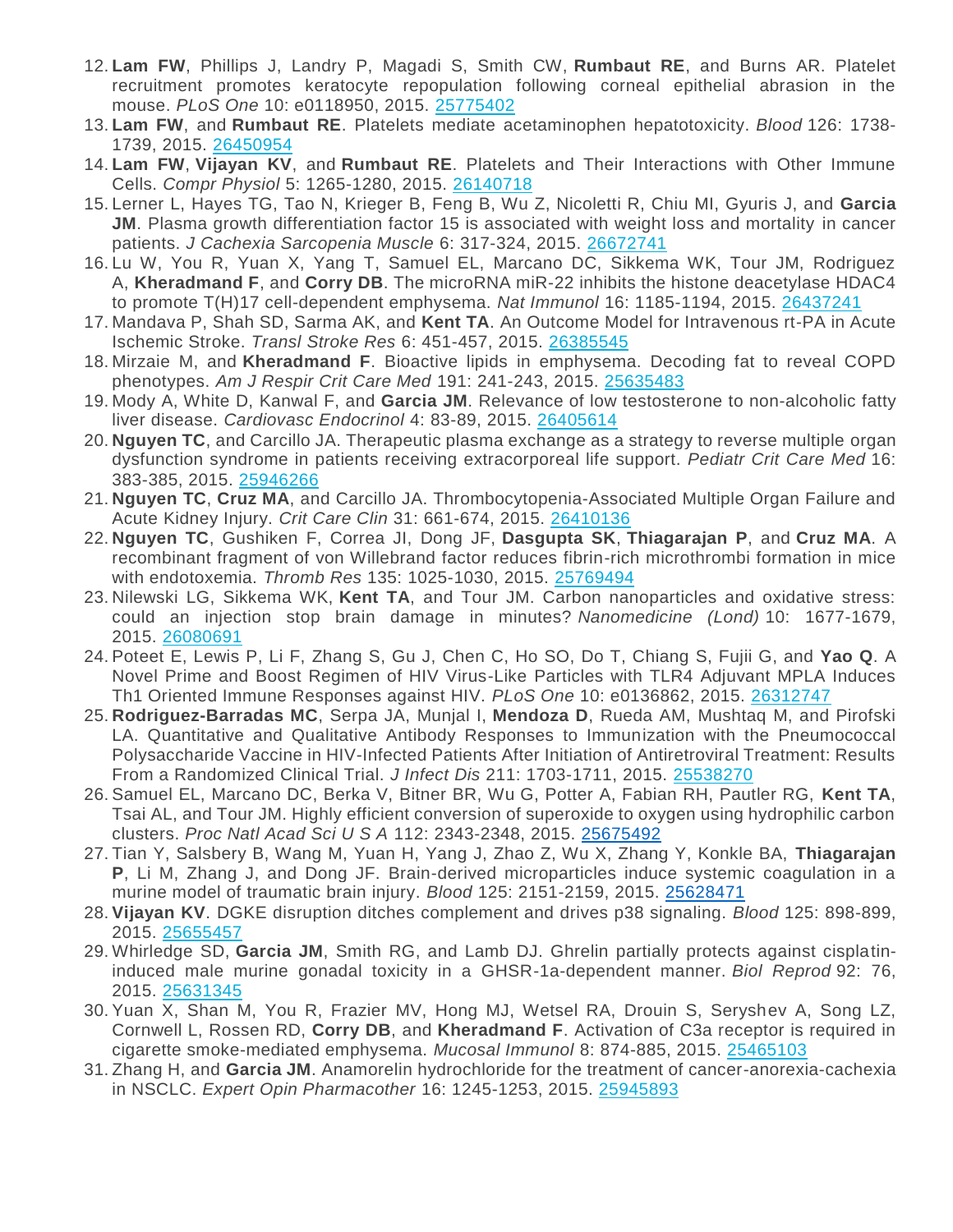- 12. **Lam FW**, Phillips J, Landry P, Magadi S, Smith CW, **Rumbaut RE**, and Burns AR. Platelet recruitment promotes keratocyte repopulation following corneal epithelial abrasion in the mouse. *PLoS One* 10: e0118950, 2015. [25775402](http://www.ncbi.nlm.nih.gov/pubmed/?term=25775402)
- 13. **Lam FW**, and **Rumbaut RE**. Platelets mediate acetaminophen hepatotoxicity. *Blood* 126: 1738- 1739, 2015. [26450954](http://www.ncbi.nlm.nih.gov/pubmed/?term=26450954)
- 14. **Lam FW**, **Vijayan KV**, and **Rumbaut RE**. Platelets and Their Interactions with Other Immune Cells. *Compr Physiol* 5: 1265-1280, 2015. [26140718](http://www.ncbi.nlm.nih.gov/pubmed/?term=26140718)
- 15. Lerner L, Hayes TG, Tao N, Krieger B, Feng B, Wu Z, Nicoletti R, Chiu MI, Gyuris J, and **Garcia JM**. Plasma growth differentiation factor 15 is associated with weight loss and mortality in cancer patients. *J Cachexia Sarcopenia Muscle* 6: 317-324, 2015. [26672741](http://www.ncbi.nlm.nih.gov/pubmed/?term=26672741)
- 16. Lu W, You R, Yuan X, Yang T, Samuel EL, Marcano DC, Sikkema WK, Tour JM, Rodriguez A, **Kheradmand F**, and **Corry DB**. The microRNA miR-22 inhibits the histone deacetylase HDAC4 to promote T(H)17 cell-dependent emphysema. *Nat Immunol* 16: 1185-1194, 2015. [26437241](http://www.ncbi.nlm.nih.gov/pubmed/?term=26437241)
- 17. Mandava P, Shah SD, Sarma AK, and **Kent TA**. An Outcome Model for Intravenous rt-PA in Acute Ischemic Stroke. *Transl Stroke Res* 6: 451-457, 2015. [26385545](http://www.ncbi.nlm.nih.gov/pubmed/?term=26385545)
- 18. Mirzaie M, and **Kheradmand F**. Bioactive lipids in emphysema. Decoding fat to reveal COPD phenotypes. *Am J Respir Crit Care Med* 191: 241-243, 2015. [25635483](http://www.ncbi.nlm.nih.gov/pubmed/?term=25635483)
- 19. Mody A, White D, Kanwal F, and **Garcia JM**. Relevance of low testosterone to non-alcoholic fatty liver disease. *Cardiovasc Endocrinol* 4: 83-89, 2015. [26405614](http://www.ncbi.nlm.nih.gov/pubmed/?term=26405614)
- 20. **Nguyen TC**, and Carcillo JA. Therapeutic plasma exchange as a strategy to reverse multiple organ dysfunction syndrome in patients receiving extracorporeal life support. *Pediatr Crit Care Med* 16: 383-385, 2015. [25946266](http://www.ncbi.nlm.nih.gov/pubmed/?term=25946266)
- 21. **Nguyen TC**, **Cruz MA**, and Carcillo JA. Thrombocytopenia-Associated Multiple Organ Failure and Acute Kidney Injury. *Crit Care Clin* 31: 661-674, 2015. [26410136](http://www.ncbi.nlm.nih.gov/pubmed/?term=26410136)
- 22. **Nguyen TC**, Gushiken F, Correa JI, Dong JF, **Dasgupta SK**, **Thiagarajan P**, and **Cruz MA**. A recombinant fragment of von Willebrand factor reduces fibrin-rich microthrombi formation in mice with endotoxemia. *Thromb Res* 135: 1025-1030, 2015. [25769494](http://www.ncbi.nlm.nih.gov/pubmed/?term=25769494)
- 23. Nilewski LG, Sikkema WK, **Kent TA**, and Tour JM. Carbon nanoparticles and oxidative stress: could an injection stop brain damage in minutes? *Nanomedicine (Lond)* 10: 1677-1679, 2015. [26080691](http://www.ncbi.nlm.nih.gov/pubmed/?term=26080691)
- 24. Poteet E, Lewis P, Li F, Zhang S, Gu J, Chen C, Ho SO, Do T, Chiang S, Fujii G, and **Yao Q**. A Novel Prime and Boost Regimen of HIV Virus-Like Particles with TLR4 Adjuvant MPLA Induces Th1 Oriented Immune Responses against HIV. *PLoS One* 10: e0136862, 2015. [26312747](http://www.ncbi.nlm.nih.gov/pubmed/?term=26312747)
- 25. **Rodriguez-Barradas MC**, Serpa JA, Munjal I, **Mendoza D**, Rueda AM, Mushtaq M, and Pirofski LA. Quantitative and Qualitative Antibody Responses to Immunization with the Pneumococcal Polysaccharide Vaccine in HIV-Infected Patients After Initiation of Antiretroviral Treatment: Results From a Randomized Clinical Trial. *J Infect Dis* 211: 1703-1711, 2015. [25538270](http://www.ncbi.nlm.nih.gov/pubmed/?term=25538270)
- 26. Samuel EL, Marcano DC, Berka V, Bitner BR, Wu G, Potter A, Fabian RH, Pautler RG, **Kent TA**, Tsai AL, and Tour JM. Highly efficient conversion of superoxide to oxygen using hydrophilic carbon clusters. *Proc Natl Acad Sci U S A* 112: 2343-2348, 2015. [25675492](https://www.ncbi.nlm.nih.gov/pubmed/?term=25675492)
- 27. Tian Y, Salsbery B, Wang M, Yuan H, Yang J, Zhao Z, Wu X, Zhang Y, Konkle BA, **Thiagarajan P**, Li M, Zhang J, and Dong JF. Brain-derived microparticles induce systemic coagulation in a murine model of traumatic brain injury. *Blood* 125: 2151-2159, 2015. [25628471](https://www.ncbi.nlm.nih.gov/pubmed/?term=25628471)
- 28. **Vijayan KV**. DGKE disruption ditches complement and drives p38 signaling. *Blood* 125: 898-899, 2015. [25655457](https://www.ncbi.nlm.nih.gov/pubmed/?term=25655457)
- 29. Whirledge SD, **Garcia JM**, Smith RG, and Lamb DJ. Ghrelin partially protects against cisplatininduced male murine gonadal toxicity in a GHSR-1a-dependent manner. *Biol Reprod* 92: 76, 2015. [25631345](http://www.ncbi.nlm.nih.gov/pubmed/?term=25631345)
- 30. Yuan X, Shan M, You R, Frazier MV, Hong MJ, Wetsel RA, Drouin S, Seryshev A, Song LZ, Cornwell L, Rossen RD, **Corry DB**, and **Kheradmand F**. Activation of C3a receptor is required in cigarette smoke-mediated emphysema. *Mucosal Immunol* 8: 874-885, 2015. [25465103](http://www.ncbi.nlm.nih.gov/pubmed/?term=25465103)
- 31. Zhang H, and **Garcia JM**. Anamorelin hydrochloride for the treatment of cancer-anorexia-cachexia in NSCLC. *Expert Opin Pharmacother* 16: 1245-1253, 2015. [25945893](http://www.ncbi.nlm.nih.gov/pubmed/?term=25945893)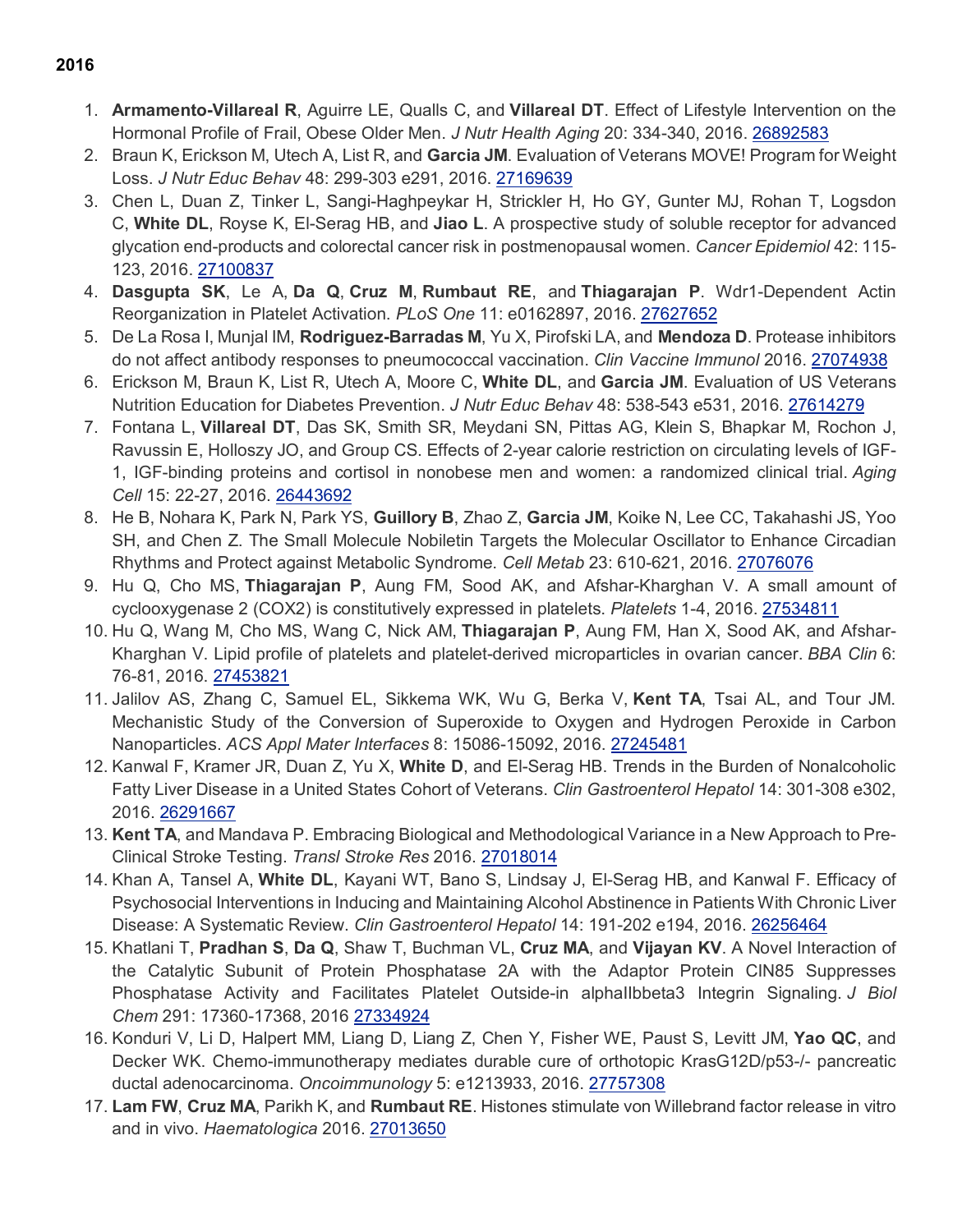- 1. **Armamento-Villareal R**, Aguirre LE, Qualls C, and **Villareal DT**. Effect of Lifestyle Intervention on the Hormonal Profile of Frail, Obese Older Men. *J Nutr Health Aging* 20: 334-340, 2016. [26892583](http://www.ncbi.nlm.nih.gov/pubmed/?term=26892583)
- 2. Braun K, Erickson M, Utech A, List R, and **Garcia JM**. Evaluation of Veterans MOVE! Program for Weight Loss. *J Nutr Educ Behav* 48: 299-303 e291, 2016. [27169639](http://www.ncbi.nlm.nih.gov/pubmed/?term=27169639)
- 3. Chen L, Duan Z, Tinker L, Sangi-Haghpeykar H, Strickler H, Ho GY, Gunter MJ, Rohan T, Logsdon C, **White DL**, Royse K, El-Serag HB, and **Jiao L**. A prospective study of soluble receptor for advanced glycation end-products and colorectal cancer risk in postmenopausal women. *Cancer Epidemiol* 42: 115- 123, 2016. [27100837](http://www.ncbi.nlm.nih.gov/pubmed/?term=27100837)
- 4. **Dasgupta SK**, Le A, **Da Q**, **Cruz M**, **Rumbaut RE**, and **Thiagarajan P**. Wdr1-Dependent Actin Reorganization in Platelet Activation. *PLoS One* 11: e0162897, 2016. [27627652](https://www.ncbi.nlm.nih.gov/pubmed/?term=27627652)
- 5. De La Rosa I, Munjal IM, **Rodriguez-Barradas M**, Yu X, Pirofski LA, and **Mendoza D**. Protease inhibitors do not affect antibody responses to pneumococcal vaccination. *Clin Vaccine Immunol* 2016. [27074938](http://www.ncbi.nlm.nih.gov/pubmed/?term=27074938)
- 6. Erickson M, Braun K, List R, Utech A, Moore C, **White DL**, and **Garcia JM**. Evaluation of US Veterans Nutrition Education for Diabetes Prevention. *J Nutr Educ Behav* 48: 538-543 e531, 2016. [27614279](https://www.ncbi.nlm.nih.gov/pubmed/?term=27614279)
- 7. Fontana L, **Villareal DT**, Das SK, Smith SR, Meydani SN, Pittas AG, Klein S, Bhapkar M, Rochon J, Ravussin E, Holloszy JO, and Group CS. Effects of 2-year calorie restriction on circulating levels of IGF-1, IGF-binding proteins and cortisol in nonobese men and women: a randomized clinical trial. *Aging Cell* 15: 22-27, 2016. [26443692](http://www.ncbi.nlm.nih.gov/pubmed/?term=26443692)
- 8. He B, Nohara K, Park N, Park YS, **Guillory B**, Zhao Z, **Garcia JM**, Koike N, Lee CC, Takahashi JS, Yoo SH, and Chen Z. The Small Molecule Nobiletin Targets the Molecular Oscillator to Enhance Circadian Rhythms and Protect against Metabolic Syndrome. *Cell Metab* 23: 610-621, 2016. [27076076](http://www.ncbi.nlm.nih.gov/pubmed/?term=27076076)
- 9. Hu Q, Cho MS, **Thiagarajan P**, Aung FM, Sood AK, and Afshar-Kharghan V. A small amount of cyclooxygenase 2 (COX2) is constitutively expressed in platelets. *Platelets* 1-4, 2016. [27534811](http://www.ncbi.nlm.nih.gov/pubmed/?term=27534811)
- 10. Hu Q, Wang M, Cho MS, Wang C, Nick AM, **Thiagarajan P**, Aung FM, Han X, Sood AK, and Afshar-Kharghan V. Lipid profile of platelets and platelet-derived microparticles in ovarian cancer. *BBA Clin* 6: 76-81, 2016. [27453821](http://www.ncbi.nlm.nih.gov/pubmed/?term=27453821)
- 11. Jalilov AS, Zhang C, Samuel EL, Sikkema WK, Wu G, Berka V, **Kent TA**, Tsai AL, and Tour JM. Mechanistic Study of the Conversion of Superoxide to Oxygen and Hydrogen Peroxide in Carbon Nanoparticles. *ACS Appl Mater Interfaces* 8: 15086-15092, 2016. [27245481](https://www.ncbi.nlm.nih.gov/pubmed/?term=27245481)
- 12. Kanwal F, Kramer JR, Duan Z, Yu X, **White D**, and El-Serag HB. Trends in the Burden of Nonalcoholic Fatty Liver Disease in a United States Cohort of Veterans. *Clin Gastroenterol Hepatol* 14: 301-308 e302, 2016. [26291667](http://www.ncbi.nlm.nih.gov/pubmed/?term=26291667)
- 13. **Kent TA**, and Mandava P. Embracing Biological and Methodological Variance in a New Approach to Pre-Clinical Stroke Testing. *Transl Stroke Res* 2016. [27018014](http://www.ncbi.nlm.nih.gov/pubmed/?term=27018014)
- 14. Khan A, Tansel A, **White DL**, Kayani WT, Bano S, Lindsay J, El-Serag HB, and Kanwal F. Efficacy of Psychosocial Interventions in Inducing and Maintaining Alcohol Abstinence in Patients With Chronic Liver Disease: A Systematic Review. *Clin Gastroenterol Hepatol* 14: 191-202 e194, 2016. [26256464](http://www.ncbi.nlm.nih.gov/pubmed/?term=26256464)
- 15. Khatlani T, **Pradhan S**, **Da Q**, Shaw T, Buchman VL, **Cruz MA**, and **Vijayan KV**. A Novel Interaction of the Catalytic Subunit of Protein Phosphatase 2A with the Adaptor Protein CIN85 Suppresses Phosphatase Activity and Facilitates Platelet Outside-in alphaIIbbeta3 Integrin Signaling. *J Biol Chem* 291: 17360-17368, 2016 [27334924](http://www.ncbi.nlm.nih.gov/pubmed/?term=27334924)
- 16. Konduri V, Li D, Halpert MM, Liang D, Liang Z, Chen Y, Fisher WE, Paust S, Levitt JM, **Yao QC**, and Decker WK. Chemo-immunotherapy mediates durable cure of orthotopic KrasG12D/p53-/- pancreatic ductal adenocarcinoma. *Oncoimmunology* 5: e1213933, 2016. [27757308](https://www.ncbi.nlm.nih.gov/pubmed/?term=27757308)
- 17. **Lam FW**, **Cruz MA**, Parikh K, and **Rumbaut RE**. Histones stimulate von Willebrand factor release in vitro and in vivo. *Haematologica* 2016. [27013650](http://www.ncbi.nlm.nih.gov/pubmed/?term=27013650)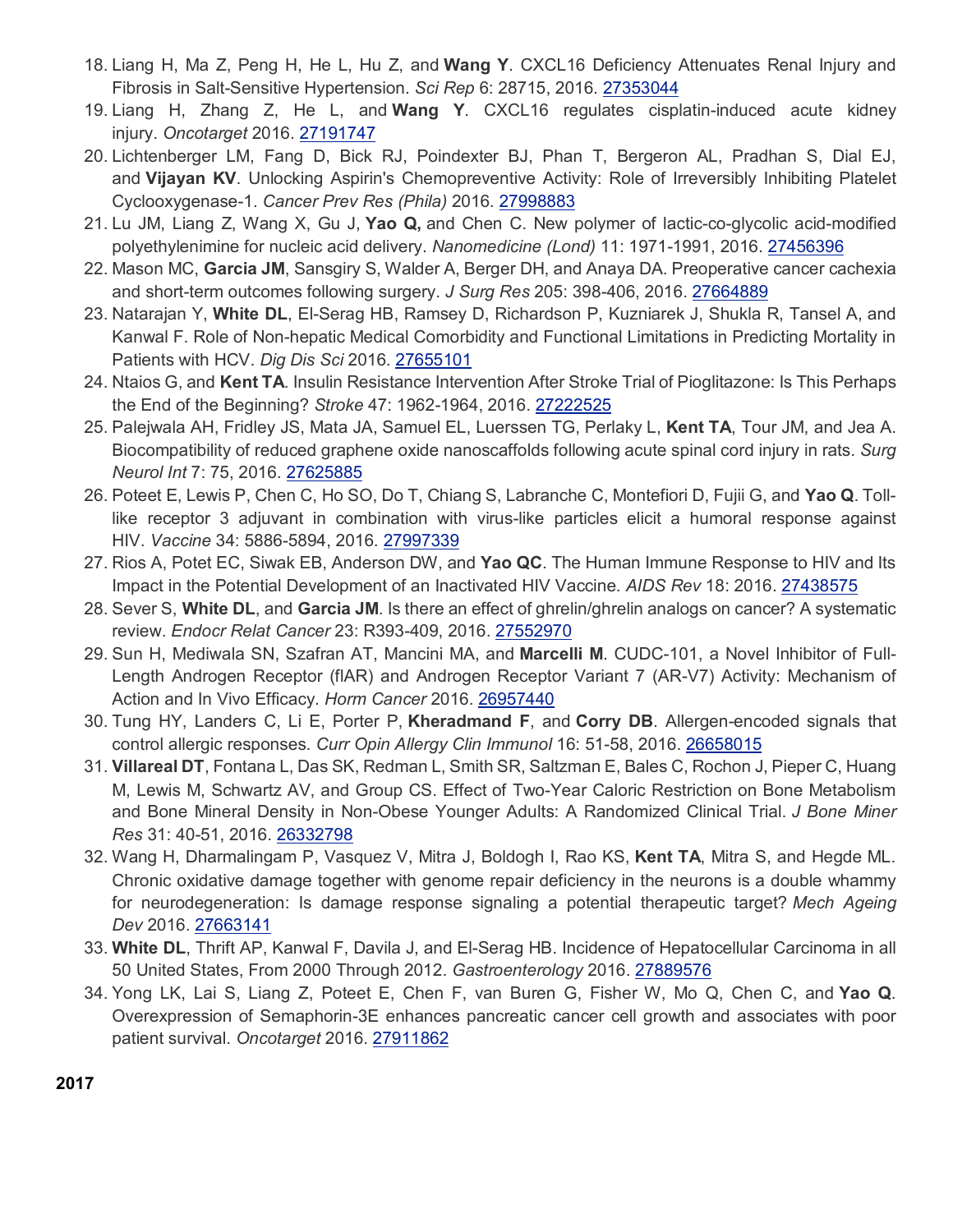- 18. Liang H, Ma Z, Peng H, He L, Hu Z, and **Wang Y**. CXCL16 Deficiency Attenuates Renal Injury and Fibrosis in Salt-Sensitive Hypertension. *Sci Rep* 6: 28715, 2016. [27353044](http://www.ncbi.nlm.nih.gov/pubmed/?term=27353044)
- 19. Liang H, Zhang Z, He L, and **Wang Y**. CXCL16 regulates cisplatin-induced acute kidney injury. *Oncotarget* 2016. [27191747](http://www.ncbi.nlm.nih.gov/pubmed/?term=27191747)
- 20. Lichtenberger LM, Fang D, Bick RJ, Poindexter BJ, Phan T, Bergeron AL, Pradhan S, Dial EJ, and **Vijayan KV**. Unlocking Aspirin's Chemopreventive Activity: Role of Irreversibly Inhibiting Platelet Cyclooxygenase-1. *Cancer Prev Res (Phila)* 2016. [27998883](https://www.ncbi.nlm.nih.gov/pubmed/?term=27998883)
- 21. Lu JM, Liang Z, Wang X, Gu J, **Yao Q,** and Chen C. New polymer of lactic-co-glycolic acid-modified polyethylenimine for nucleic acid delivery. *Nanomedicine (Lond)* 11: 1971-1991, 2016. [27456396](http://www.ncbi.nlm.nih.gov/pubmed/?term=27456396)
- 22. Mason MC, **Garcia JM**, Sansgiry S, Walder A, Berger DH, and Anaya DA. Preoperative cancer cachexia and short-term outcomes following surgery. *J Surg Res* 205: 398-406, 2016. [27664889](https://www.ncbi.nlm.nih.gov/pubmed/?term=27664889)
- 23. Natarajan Y, **White DL**, El-Serag HB, Ramsey D, Richardson P, Kuzniarek J, Shukla R, Tansel A, and Kanwal F. Role of Non-hepatic Medical Comorbidity and Functional Limitations in Predicting Mortality in Patients with HCV. *Dig Dis Sci* 2016. [27655101](https://www.ncbi.nlm.nih.gov/pubmed/?term=27655101)
- 24. Ntaios G, and **Kent TA**. Insulin Resistance Intervention After Stroke Trial of Pioglitazone: Is This Perhaps the End of the Beginning? *Stroke* 47: 1962-1964, 2016. [27222525](http://www.ncbi.nlm.nih.gov/pubmed/?term=27222525)
- 25. Palejwala AH, Fridley JS, Mata JA, Samuel EL, Luerssen TG, Perlaky L, **Kent TA**, Tour JM, and Jea A. Biocompatibility of reduced graphene oxide nanoscaffolds following acute spinal cord injury in rats. *Surg Neurol Int* 7: 75, 2016. [27625885](https://www.ncbi.nlm.nih.gov/pubmed/?term=27625885)
- 26. Poteet E, Lewis P, Chen C, Ho SO, Do T, Chiang S, Labranche C, Montefiori D, Fujii G, and **Yao Q**. Tolllike receptor 3 adjuvant in combination with virus-like particles elicit a humoral response against HIV. *Vaccine* 34: 5886-5894, 2016. [27997339](https://www.ncbi.nlm.nih.gov/pubmed/?term=27997339)
- 27. Rios A, Potet EC, Siwak EB, Anderson DW, and **Yao QC**. The Human Immune Response to HIV and Its Impact in the Potential Development of an Inactivated HIV Vaccine. *AIDS Rev* 18: 2016. [27438575](http://www.ncbi.nlm.nih.gov/pubmed/?term=27438575)
- 28. Sever S, **White DL**, and **Garcia JM**. Is there an effect of ghrelin/ghrelin analogs on cancer? A systematic review. *Endocr Relat Cancer* 23: R393-409, 2016. [27552970](http://www.ncbi.nlm.nih.gov/pubmed/?term=27552970)
- 29. Sun H, Mediwala SN, Szafran AT, Mancini MA, and **Marcelli M**. CUDC-101, a Novel Inhibitor of Full-Length Androgen Receptor (flAR) and Androgen Receptor Variant 7 (AR-V7) Activity: Mechanism of Action and In Vivo Efficacy. *Horm Cancer* 2016. [26957440](http://www.ncbi.nlm.nih.gov/pubmed/?term=26957440)
- 30. Tung HY, Landers C, Li E, Porter P, **Kheradmand F**, and **Corry DB**. Allergen-encoded signals that control allergic responses. *Curr Opin Allergy Clin Immunol* 16: 51-58, 2016. [26658015](http://www.ncbi.nlm.nih.gov/pubmed/?term=26658015)
- 31. **Villareal DT**, Fontana L, Das SK, Redman L, Smith SR, Saltzman E, Bales C, Rochon J, Pieper C, Huang M, Lewis M, Schwartz AV, and Group CS. Effect of Two-Year Caloric Restriction on Bone Metabolism and Bone Mineral Density in Non-Obese Younger Adults: A Randomized Clinical Trial. *J Bone Miner Res* 31: 40-51, 2016. [26332798](http://www.ncbi.nlm.nih.gov/pubmed/?term=26332798)
- 32. Wang H, Dharmalingam P, Vasquez V, Mitra J, Boldogh I, Rao KS, **Kent TA**, Mitra S, and Hegde ML. Chronic oxidative damage together with genome repair deficiency in the neurons is a double whammy for neurodegeneration: Is damage response signaling a potential therapeutic target? *Mech Ageing Dev* 2016. [27663141](https://www.ncbi.nlm.nih.gov/pubmed/?term=27663141)
- 33. **White DL**, Thrift AP, Kanwal F, Davila J, and El-Serag HB. Incidence of Hepatocellular Carcinoma in all 50 United States, From 2000 Through 2012. *Gastroenterology* 2016. [27889576](https://www.ncbi.nlm.nih.gov/pubmed/?term=27889576)
- 34. Yong LK, Lai S, Liang Z, Poteet E, Chen F, van Buren G, Fisher W, Mo Q, Chen C, and **Yao Q**. Overexpression of Semaphorin-3E enhances pancreatic cancer cell growth and associates with poor patient survival. *Oncotarget* 2016. [27911862](https://www.ncbi.nlm.nih.gov/pubmed/?term=27911862)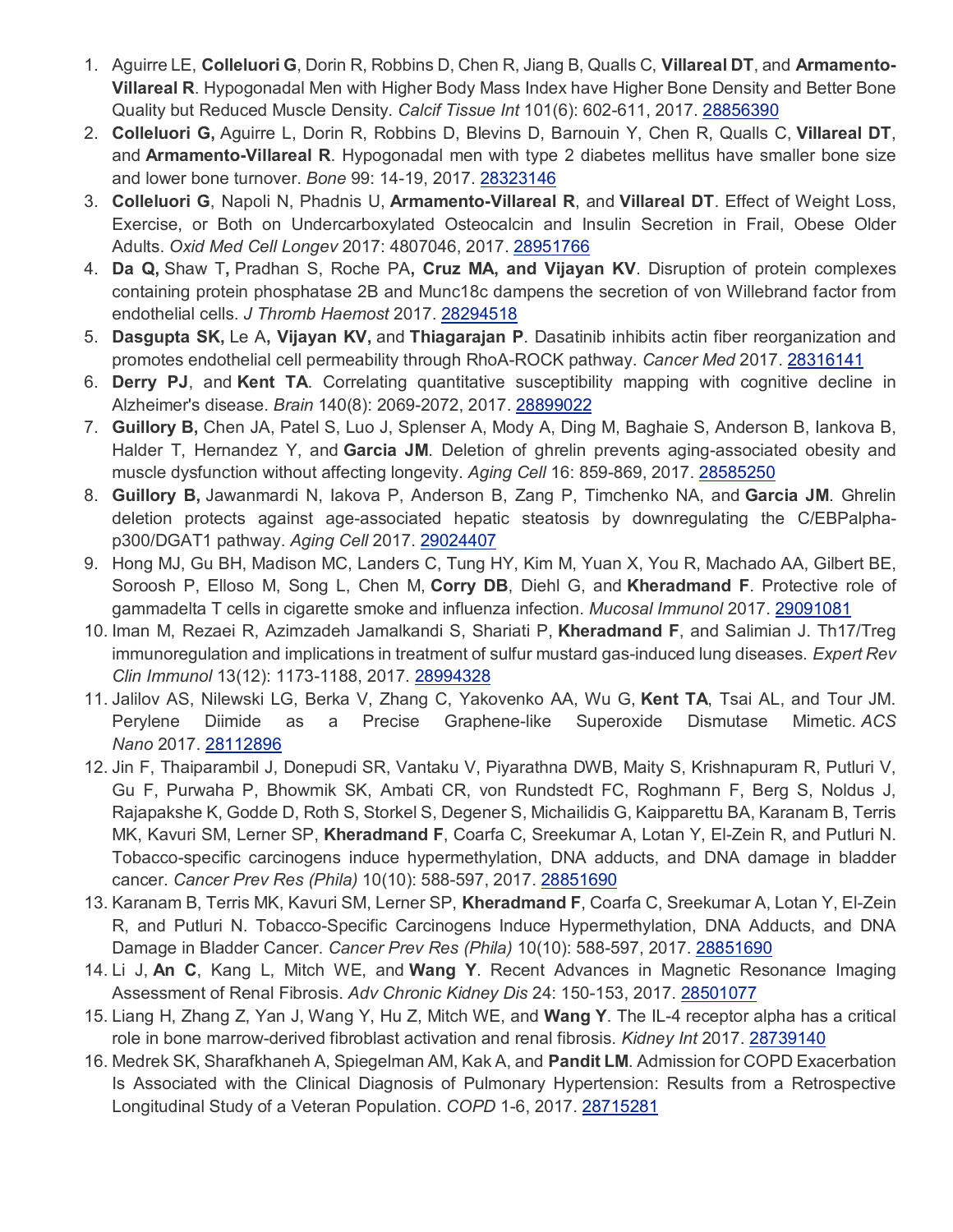- 1. Aguirre LE, **Colleluori G**, Dorin R, Robbins D, Chen R, Jiang B, Qualls C, **Villareal DT**, and **Armamento-Villareal R**. Hypogonadal Men with Higher Body Mass Index have Higher Bone Density and Better Bone Quality but Reduced Muscle Density. *Calcif Tissue Int* 101(6): 602-611, 2017. [28856390](https://www.ncbi.nlm.nih.gov/pubmed/?term=28856390)
- 2. **Colleluori G,** Aguirre L, Dorin R, Robbins D, Blevins D, Barnouin Y, Chen R, Qualls C, **Villareal DT**, and **Armamento-Villareal R**. Hypogonadal men with type 2 diabetes mellitus have smaller bone size and lower bone turnover. *Bone* 99: 14-19, 2017. [28323146](https://www.ncbi.nlm.nih.gov/pubmed/?term=28323146)
- 3. **Colleluori G**, Napoli N, Phadnis U, **Armamento-Villareal R**, and **Villareal DT**. Effect of Weight Loss, Exercise, or Both on Undercarboxylated Osteocalcin and Insulin Secretion in Frail, Obese Older Adults. *Oxid Med Cell Longev* 2017: 4807046, 2017. [28951766](https://www.ncbi.nlm.nih.gov/pubmed/?term=28951766)
- 4. **Da Q,** Shaw T**,** Pradhan S, Roche PA**, Cruz MA, and Vijayan KV**. Disruption of protein complexes containing protein phosphatase 2B and Munc18c dampens the secretion of von Willebrand factor from endothelial cells. *J Thromb Haemost* 2017. [28294518](https://www.ncbi.nlm.nih.gov/pubmed/?term=28294518)
- 5. **Dasgupta SK,** Le A**, Vijayan KV,** and **Thiagarajan P**. Dasatinib inhibits actin fiber reorganization and promotes endothelial cell permeability through RhoA-ROCK pathway. *Cancer Med* 2017. [28316141](https://www.ncbi.nlm.nih.gov/pubmed/?term=28316141)
- 6. **Derry PJ**, and **Kent TA**. Correlating quantitative susceptibility mapping with cognitive decline in Alzheimer's disease. *Brain* 140(8): 2069-2072, 2017. [28899022](https://www.ncbi.nlm.nih.gov/pubmed/?term=28899022)
- 7. **Guillory B,** Chen JA, Patel S, Luo J, Splenser A, Mody A, Ding M, Baghaie S, Anderson B, Iankova B, Halder T, Hernandez Y, and **Garcia JM**. Deletion of ghrelin prevents aging-associated obesity and muscle dysfunction without affecting longevity. *Aging Cell* 16: 859-869, 2017. [28585250](https://www.ncbi.nlm.nih.gov/pubmed/?term=28585250)
- 8. **Guillory B,** Jawanmardi N, Iakova P, Anderson B, Zang P, Timchenko NA, and **Garcia JM**. Ghrelin deletion protects against age-associated hepatic steatosis by downregulating the C/EBPalphap300/DGAT1 pathway. *Aging Cell* 2017. [29024407](https://www.ncbi.nlm.nih.gov/pubmed/?term=29024407)
- 9. Hong MJ, Gu BH, Madison MC, Landers C, Tung HY, Kim M, Yuan X, You R, Machado AA, Gilbert BE, Soroosh P, Elloso M, Song L, Chen M, **Corry DB**, Diehl G, and **Kheradmand F**. Protective role of gammadelta T cells in cigarette smoke and influenza infection. *Mucosal Immunol* 2017. [29091081](https://www.ncbi.nlm.nih.gov/pubmed/?term=29091081)
- 10. Iman M, Rezaei R, Azimzadeh Jamalkandi S, Shariati P, **Kheradmand F**, and Salimian J. Th17/Treg immunoregulation and implications in treatment of sulfur mustard gas-induced lung diseases. *Expert Rev Clin Immunol* 13(12): 1173-1188, 2017. [28994328](https://www.ncbi.nlm.nih.gov/pubmed/?term=28994328)
- 11. Jalilov AS, Nilewski LG, Berka V, Zhang C, Yakovenko AA, Wu G, **Kent TA**, Tsai AL, and Tour JM. Perylene Diimide as a Precise Graphene-like Superoxide Dismutase Mimetic. *ACS Nano* 2017. [28112896](https://www.ncbi.nlm.nih.gov/pubmed/?term=28112896)
- 12. Jin F, Thaiparambil J, Donepudi SR, Vantaku V, Piyarathna DWB, Maity S, Krishnapuram R, Putluri V, Gu F, Purwaha P, Bhowmik SK, Ambati CR, von Rundstedt FC, Roghmann F, Berg S, Noldus J, Rajapakshe K, Godde D, Roth S, Storkel S, Degener S, Michailidis G, Kaipparettu BA, Karanam B, Terris MK, Kavuri SM, Lerner SP, **Kheradmand F**, Coarfa C, Sreekumar A, Lotan Y, El-Zein R, and Putluri N. Tobacco-specific carcinogens induce hypermethylation, DNA adducts, and DNA damage in bladder cancer. *Cancer Prev Res (Phila)* 10(10): 588-597, 2017. [28851690](https://www.ncbi.nlm.nih.gov/pubmed/?term=28851690)
- 13. Karanam B, Terris MK, Kavuri SM, Lerner SP, **Kheradmand F**, Coarfa C, Sreekumar A, Lotan Y, El-Zein R, and Putluri N. Tobacco-Specific Carcinogens Induce Hypermethylation, DNA Adducts, and DNA Damage in Bladder Cancer. *Cancer Prev Res (Phila)* 10(10): 588-597, 2017. [28851690](https://www.ncbi.nlm.nih.gov/pubmed/?term=28851690)
- 14. Li J, **An C**, Kang L, Mitch WE, and **Wang Y**. Recent Advances in Magnetic Resonance Imaging Assessment of Renal Fibrosis. *Adv Chronic Kidney Dis* 24: 150-153, 2017. [28501077](https://www.ncbi.nlm.nih.gov/pubmed/?term=28501077)
- 15. Liang H, Zhang Z, Yan J, Wang Y, Hu Z, Mitch WE, and **Wang Y**. The IL-4 receptor alpha has a critical role in bone marrow-derived fibroblast activation and renal fibrosis. *Kidney Int* 2017. [28739140](https://www.ncbi.nlm.nih.gov/pubmed/?term=28739140)
- 16. Medrek SK, Sharafkhaneh A, Spiegelman AM, Kak A, and **Pandit LM**. Admission for COPD Exacerbation Is Associated with the Clinical Diagnosis of Pulmonary Hypertension: Results from a Retrospective Longitudinal Study of a Veteran Population. *COPD* 1-6, 2017. [28715281](https://www.ncbi.nlm.nih.gov/pubmed/?term=28715281)